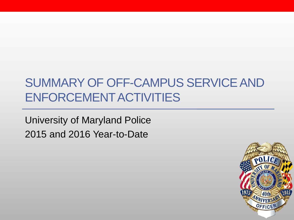## SUMMARY OF OFF-CAMPUS SERVICE AND ENFORCEMENT ACTIVITIES

University of Maryland Police 2015 and 2016 Year-to-Date

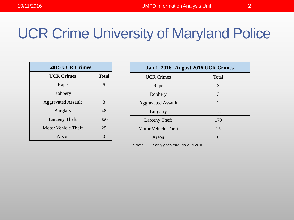| <b>2015 UCR Crimes</b>    |              |
|---------------------------|--------------|
| <b>UCR Crimes</b>         | <b>Total</b> |
| Rape                      | 5            |
| Robbery                   | 1            |
| <b>Aggravated Assault</b> | 3            |
| <b>Burglary</b>           | 48           |
| <b>Larceny Theft</b>      | 366          |
| Motor Vehicle Theft       | 29           |
| Arson                     |              |

| <b>Jan 1, 2016--August 2016 UCR Crimes</b> |                       |
|--------------------------------------------|-----------------------|
| <b>UCR Crimes</b>                          | Total                 |
| Rape                                       | 3                     |
| Robbery                                    | 3                     |
| <b>Aggravated Assault</b>                  | $\mathcal{D}_{\cdot}$ |
| <b>Burgalry</b>                            | 18                    |
| Larceny Theft                              | 179                   |
| Motor Vehicle Theft                        | 15                    |
| Arson                                      |                       |

\* Note: UCR only goes through Aug 2016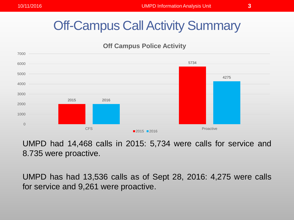## Off-Campus Call Activity Summary





UMPD had 14,468 calls in 2015: 5,734 were calls for service and 8.735 were proactive.

UMPD has had 13,536 calls as of Sept 28, 2016: 4,275 were calls for service and 9,261 were proactive.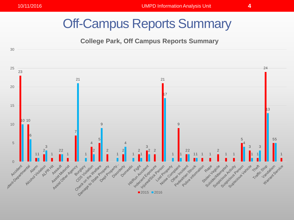### Off-Campus Reports Summary

#### **College Park, Off Campus Reports Summary**

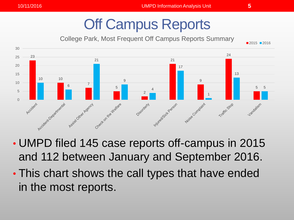# Off Campus Reports

College Park, Most Frequent Off Campus Reports Summary



- UMPD filed 145 case reports off-campus in 2015 and 112 between January and September 2016.
- This chart shows the call types that have ended in the most reports.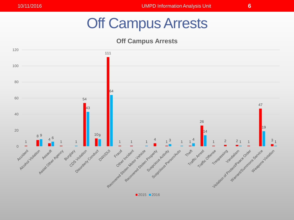## Off Campus Arrests

**Off Campus Arrests**